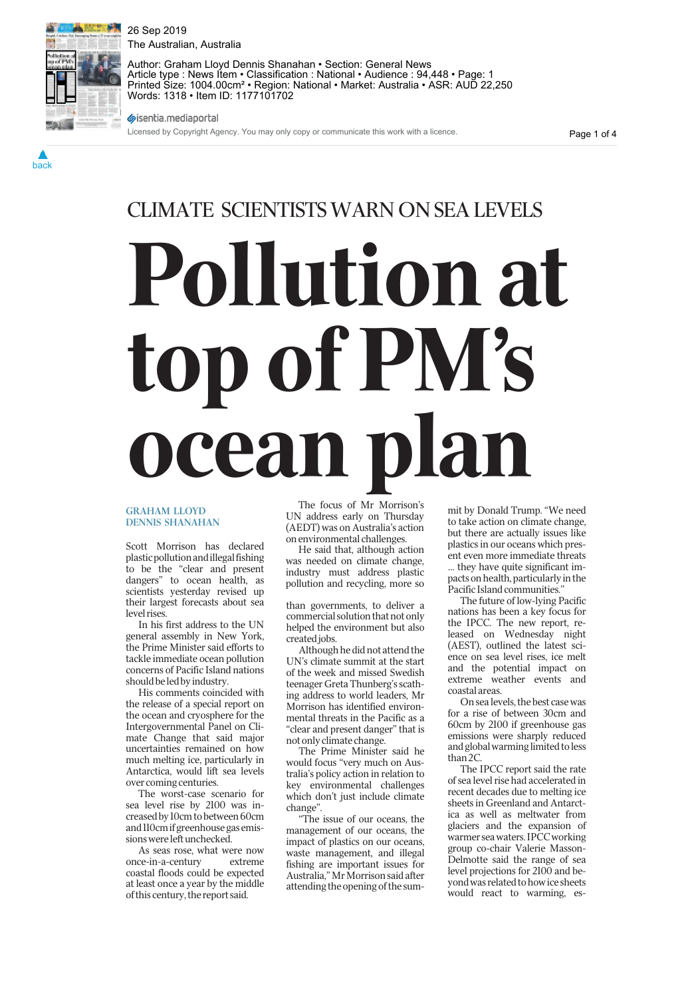26 Sep 2019 The Australian, Australia



back

Author: Graham Lloyd Dennis Shanahan • Section: General News Article type : News Item • Classification : National • Audience : 94,448 • Page: 1 Printed Size: 1004.00cm² • Region: National • Market: Australia • ASR: AUD 22,250 Words: 1318 • Item ID: 1177101702

sisentia.mediaportal

Licensed by Copyright Agency. You may only copy or communicate this work with a licence.

Page 1 of 4

# CLIMATE SCIENTISTS WARN ON SEA LEVELS Pollution at op of PM's cean p The focus of Mr Morrison's

#### GRAHAM LLOYD DENNIS SHANAHAN

Scott Morrison has declared plastic pollution and illegal fishing to be the "clear and present dangers" to ocean health, as scientists yesterday revised up their largest forecasts about sea level rises.

In his first address to the UN general assembly in New York, the Prime Minister said efforts to tackle immediate ocean pollution concerns of Pacific Island nations should be led by industry.

His comments coincided with the release of a special report on the ocean and cryosphere for the Intergovernmental Panel on Climate Change that said major uncertainties remained on how much melting ice, particularly in Antarctica, would lift sea levels over coming centuries.

The worst-case scenario for sea level rise by 2100 was increased by 10cm to between 60cm and 110cm if greenhouse gas emissions were left unchecked.

As seas rose, what were now once-in-a-century extreme coastal floods could be expected at least once a year by the middle of this century, the report said.

UN address early on Thursday (AEDT) was on Australia's action on environmental challenges.

He said that, although action was needed on climate change, industry must address plastic pollution and recycling, more so

than governments, to deliver a commercial solution that not only helped the environment but also created jobs.

Although he did not attend the UN's climate summit at the start of the week and missed Swedish teenager Greta Thunberg's scathing address to world leaders, Mr Morrison has identified environmental threats in the Pacific as a "clear and present danger" that is not only climate change.

The Prime Minister said he would focus "very much on Australia's policy action in relation to key environmental challenges which don't just include climate change".

"The issue of our oceans, the management of our oceans, the impact of plastics on our oceans, waste management, and illegal fishing are important issues for Australia," Mr Morrison said after attending the opening of the summit by Donald Trump. "We need to take action on climate change, but there are actually issues like plastics in our oceans which present even more immediate threats … they have quite significant impacts on health, particularly in the Pacific Island communities.''

The future of low-lying Pacific nations has been a key focus for the IPCC. The new report, released on Wednesday night (AEST), outlined the latest science on sea level rises, ice melt and the potential impact on extreme weather events and coastal areas.

On sea levels, the best case was for a rise of between 30cm and 60cm by 2100 if greenhouse gas emissions were sharply reduced and global warming limited to less than 2C.

The IPCC report said the rate of sea level rise had accelerated in recent decades due to melting ice sheets in Greenland and Antarctica as well as meltwater from glaciers and the expansion of warmer sea waters. IPCC working group co-chair Valerie Masson-Delmotte said the range of sea level projections for 2100 and beyond was related to how ice sheets would react to warming, es-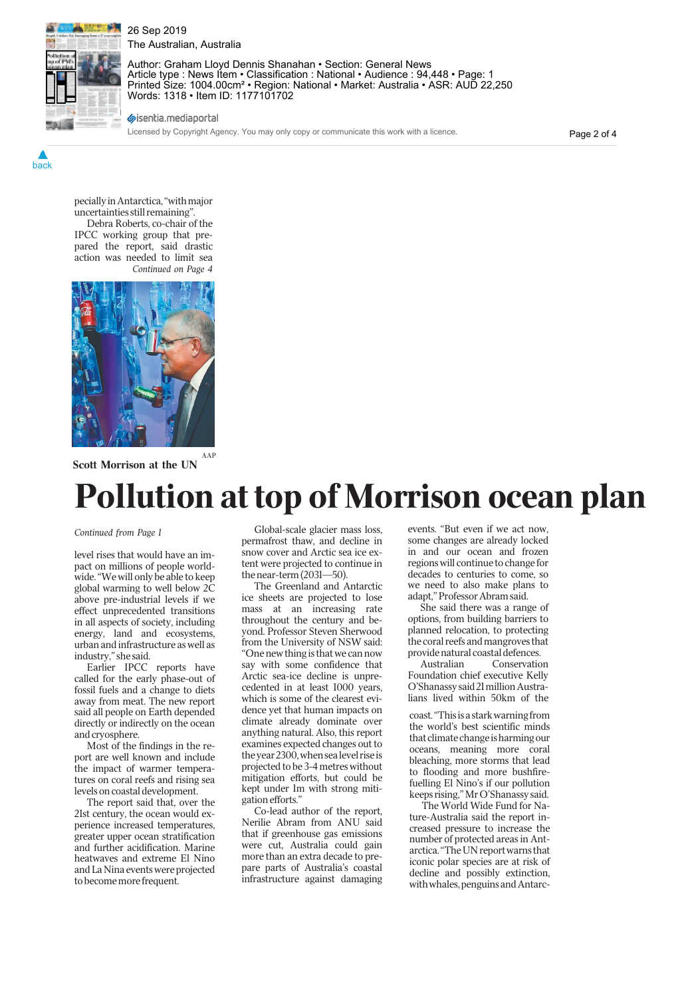

back

26 Sep 2019 The Australian, Australia

Author: Graham Lloyd Dennis Shanahan • Section: General News Article type : News Item • Classification : National • Audience : 94,448 • Page: 1 Printed Size: 1004.00cm² • Region: National • Market: Australia • ASR: AUD 22,250 Words: 1318 • Item ID: 1177101702

sisentia.mediaportal

Licensed by Copyright Agency. You may only copy or communicate this work with a licence.

Page 2 of 4

pecially in Antarctica, "with major uncertainties still remaining".

Debra Roberts, co-chair of the IPCC working group that prepared the report, said drastic action was needed to limit sea Continued on Page 4



Scott Morrison at the UN

## Pollution at top of Morrison ocean plan

level rises that would have an impact on millions of people worldwide. "We will only be able to keep global warming to well below 2C above pre-industrial levels if we effect unprecedented transitions in all aspects of society, including energy, land and ecosystems, urban and infrastructure as well as industry," she said.

Earlier IPCC reports have called for the early phase-out of fossil fuels and a change to diets away from meat. The new report said all people on Earth depended directly or indirectly on the ocean and cryosphere.

Most of the findings in the report are well known and include the impact of warmer temperatures on coral reefs and rising sea levels on coastal development.

The report said that, over the 21st century, the ocean would experience increased temperatures, greater upper ocean stratification and further acidification. Marine heatwaves and extreme El Nino and La Nina events were projected to become more frequent.

Continued from Page 1 Global-scale glacier mass loss, permafrost thaw, and decline in snow cover and Arctic sea ice extent were projected to continue in the near-term (2031—50).

> The Greenland and Antarctic ice sheets are projected to lose mass at an increasing rate throughout the century and beyond. Professor Steven Sherwood from the University of NSW said: "One new thing is that we can now say with some confidence that Arctic sea-ice decline is unprecedented in at least 1000 years, which is some of the clearest evidence yet that human impacts on climate already dominate over anything natural. Also, this report examines expected changes out to the year 2300, when sea level rise is projected to be 3-4 metres without mitigation efforts, but could be kept under 1m with strong mitigation efforts."

Co-lead author of the report, Nerilie Abram from ANU said that if greenhouse gas emissions were cut, Australia could gain more than an extra decade to prepare parts of Australia's coastal infrastructure against damaging events. "But even if we act now, some changes are already locked in and our ocean and frozen regions will continue to change for decades to centuries to come, so we need to also make plans to adapt," Professor Abram said.

She said there was a range of options, from building barriers to planned relocation, to protecting the coral reefs and mangroves that provide natural coastal defences.

Australian Conservation Foundation chief executive Kelly O'Shanassy said 21 million Australians lived within 50km of the

coast. "This is a stark warning from the world's best scientific minds that climate change is harming our oceans, meaning more coral bleaching, more storms that lead to flooding and more bushfirefuelling El Nino's if our pollution keeps rising," Mr O'Shanassy said.

The World Wide Fund for Nature-Australia said the report increased pressure to increase the number of protected areas in Antarctica. "The UN report warns that iconic polar species are at risk of decline and possibly extinction, with whales, penguins and Antarc-